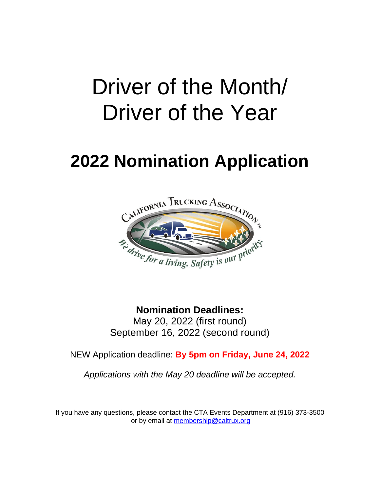# Driver of the Month/ Driver of the Year

## **2022 Nomination Application**



**Nomination Deadlines:** May 20, 2022 (first round) September 16, 2022 (second round)

NEW Application deadline: **By 5pm on Friday, June 24, 2022**

*Applications with the May 20 deadline will be accepted.*

If you have any questions, please contact the CTA Events Department at (916) 373-3500 or by email at [membership@caltrux.org](mailto:membership@caltrux.org)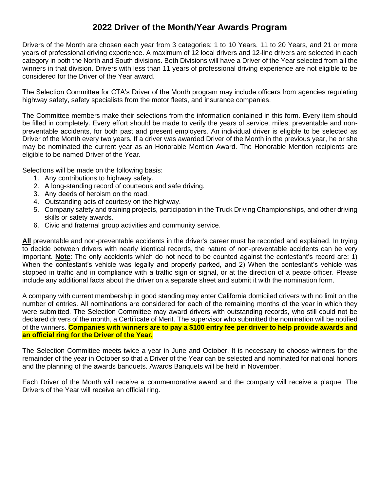#### **2022 Driver of the Month/Year Awards Program**

Drivers of the Month are chosen each year from 3 categories: 1 to 10 Years, 11 to 20 Years, and 21 or more years of professional driving experience. A maximum of 12 local drivers and 12-line drivers are selected in each category in both the North and South divisions. Both Divisions will have a Driver of the Year selected from all the winners in that division. Drivers with less than 11 years of professional driving experience are not eligible to be considered for the Driver of the Year award.

The Selection Committee for CTA's Driver of the Month program may include officers from agencies regulating highway safety, safety specialists from the motor fleets, and insurance companies.

The Committee members make their selections from the information contained in this form. Every item should be filled in completely. Every effort should be made to verify the years of service, miles, preventable and nonpreventable accidents, for both past and present employers. An individual driver is eligible to be selected as Driver of the Month every two years. If a driver was awarded Driver of the Month in the previous year, he or she may be nominated the current year as an Honorable Mention Award. The Honorable Mention recipients are eligible to be named Driver of the Year.

Selections will be made on the following basis:

- 1. Any contributions to highway safety.
- 2. A long-standing record of courteous and safe driving.
- 3. Any deeds of heroism on the road.
- 4. Outstanding acts of courtesy on the highway.
- 5. Company safety and training projects, participation in the Truck Driving Championships, and other driving skills or safety awards.
- 6. Civic and fraternal group activities and community service.

**All** preventable and non-preventable accidents in the driver's career must be recorded and explained. In trying to decide between drivers with nearly identical records, the nature of non-preventable accidents can be very important. **Note**: The only accidents which do not need to be counted against the contestant's record are: 1) When the contestant's vehicle was legally and properly parked, and 2) When the contestant's vehicle was stopped in traffic and in compliance with a traffic sign or signal, or at the direction of a peace officer. Please include any additional facts about the driver on a separate sheet and submit it with the nomination form.

A company with current membership in good standing may enter California domiciled drivers with no limit on the number of entries. All nominations are considered for each of the remaining months of the year in which they were submitted. The Selection Committee may award drivers with outstanding records, who still could not be declared drivers of the month, a Certificate of Merit. The supervisor who submitted the nomination will be notified of the winners. **Companies with winners are to pay a \$100 entry fee per driver to help provide awards and an official ring for the Driver of the Year.**

The Selection Committee meets twice a year in June and October. It is necessary to choose winners for the remainder of the year in October so that a Driver of the Year can be selected and nominated for national honors and the planning of the awards banquets. Awards Banquets will be held in November.

Each Driver of the Month will receive a commemorative award and the company will receive a plaque. The Drivers of the Year will receive an official ring.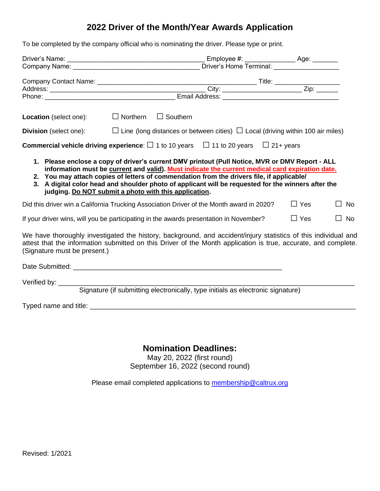### **2022 Driver of the Month/Year Awards Application**

To be completed by the company official who is nominating the driver. Please type or print.

|                               |                                                                                                                                                                                                                                                                                                                                                                                                                                                              | Company Name: Company Name: 2008. [1] Driver's Home Terminal: |  |               |           |  |
|-------------------------------|--------------------------------------------------------------------------------------------------------------------------------------------------------------------------------------------------------------------------------------------------------------------------------------------------------------------------------------------------------------------------------------------------------------------------------------------------------------|---------------------------------------------------------------|--|---------------|-----------|--|
|                               |                                                                                                                                                                                                                                                                                                                                                                                                                                                              |                                                               |  |               |           |  |
|                               |                                                                                                                                                                                                                                                                                                                                                                                                                                                              |                                                               |  |               |           |  |
|                               |                                                                                                                                                                                                                                                                                                                                                                                                                                                              |                                                               |  |               |           |  |
| Location (select one):        | $\Box$ Northern $\Box$ Southern                                                                                                                                                                                                                                                                                                                                                                                                                              |                                                               |  |               |           |  |
| <b>Division</b> (select one): | $\Box$ Line (long distances or between cities) $\Box$ Local (driving within 100 air miles)                                                                                                                                                                                                                                                                                                                                                                   |                                                               |  |               |           |  |
|                               | <b>Commercial vehicle driving experience:</b> $\Box$ 1 to 10 years $\Box$ 11 to 20 years $\Box$ 21+ years                                                                                                                                                                                                                                                                                                                                                    |                                                               |  |               |           |  |
| 3.                            | 1. Please enclose a copy of driver's current DMV printout (Pull Notice, MVR or DMV Report - ALL<br>information must be current and valid). Must indicate the current medical card expiration date.<br>2. You may attach copies of letters of commendation from the drivers file, if applicable/<br>A digital color head and shoulder photo of applicant will be requested for the winners after the<br>judging. Do NOT submit a photo with this application. |                                                               |  |               |           |  |
|                               | Did this driver win a California Trucking Association Driver of the Month award in 2020?                                                                                                                                                                                                                                                                                                                                                                     |                                                               |  | $\Box$ Yes    | ∐ No      |  |
|                               | If your driver wins, will you be participating in the awards presentation in November?                                                                                                                                                                                                                                                                                                                                                                       |                                                               |  | $\square$ Yes | $\Box$ No |  |
| (Signature must be present.)  | We have thoroughly investigated the history, background, and accident/injury statistics of this individual and<br>attest that the information submitted on this Driver of the Month application is true, accurate, and complete.                                                                                                                                                                                                                             |                                                               |  |               |           |  |
|                               |                                                                                                                                                                                                                                                                                                                                                                                                                                                              |                                                               |  |               |           |  |
|                               | Signature (if submitting electronically, type initials as electronic signature)                                                                                                                                                                                                                                                                                                                                                                              |                                                               |  |               |           |  |

Typed name and title: \_\_\_\_\_\_\_\_\_\_\_\_\_\_\_\_\_\_\_\_\_\_\_\_\_\_\_\_\_\_\_\_\_\_\_\_\_\_\_\_\_\_\_\_\_\_\_\_\_\_\_\_\_\_\_\_\_\_\_\_\_\_\_\_\_\_\_\_\_\_

#### **Nomination Deadlines:**

May 20, 2022 (first round) September 16, 2022 (second round)

Please email completed applications to [membership@caltrux.org](mailto:membership@caltrux.org)